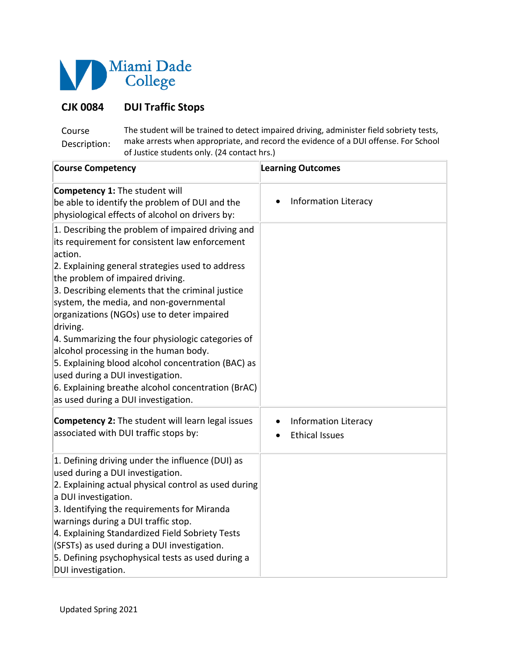

## **CJK 0084 DUI Traffic Stops**

Course Description: The student will be trained to detect impaired driving, administer field sobriety tests, make arrests when appropriate, and record the evidence of a DUI offense. For School of Justice students only. (24 contact hrs.)

| <b>Course Competency</b>                                                                                                                                                                                                                                                                                                                                                                                                                                                                                                                                                                                                                             | <b>Learning Outcomes</b>                             |
|------------------------------------------------------------------------------------------------------------------------------------------------------------------------------------------------------------------------------------------------------------------------------------------------------------------------------------------------------------------------------------------------------------------------------------------------------------------------------------------------------------------------------------------------------------------------------------------------------------------------------------------------------|------------------------------------------------------|
| <b>Competency 1: The student will</b><br>be able to identify the problem of DUI and the<br>physiological effects of alcohol on drivers by:                                                                                                                                                                                                                                                                                                                                                                                                                                                                                                           | <b>Information Literacy</b>                          |
| 1. Describing the problem of impaired driving and<br>its requirement for consistent law enforcement<br>action.<br>2. Explaining general strategies used to address<br>the problem of impaired driving.<br>3. Describing elements that the criminal justice<br>system, the media, and non-governmental<br>organizations (NGOs) use to deter impaired<br>driving.<br>4. Summarizing the four physiologic categories of<br>alcohol processing in the human body.<br>5. Explaining blood alcohol concentration (BAC) as<br>used during a DUI investigation.<br>6. Explaining breathe alcohol concentration (BrAC)<br>as used during a DUI investigation. |                                                      |
| <b>Competency 2:</b> The student will learn legal issues<br>associated with DUI traffic stops by:                                                                                                                                                                                                                                                                                                                                                                                                                                                                                                                                                    | <b>Information Literacy</b><br><b>Ethical Issues</b> |
| 1. Defining driving under the influence (DUI) as<br>used during a DUI investigation.<br>2. Explaining actual physical control as used during<br>a DUI investigation.<br>3. Identifying the requirements for Miranda<br>warnings during a DUI traffic stop.<br>4. Explaining Standardized Field Sobriety Tests<br>(SFSTs) as used during a DUI investigation.<br>5. Defining psychophysical tests as used during a<br>DUI investigation.                                                                                                                                                                                                              |                                                      |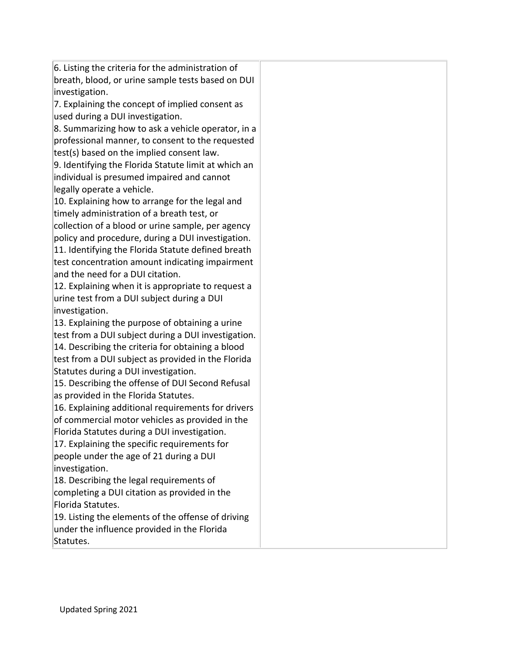6. Listing the criteria for the administration of breath, blood, or urine sample tests based on DUI investigation.

7. Explaining the concept of implied consent as used during a DUI investigation.

8. Summarizing how to ask a vehicle operator, in a professional manner, to consent to the requested test(s) based on the implied consent law.

9. Identifying the Florida Statute limit at which an individual is presumed impaired and cannot legally operate a vehicle.

10. Explaining how to arrange for the legal and timely administration of a breath test, or

collection of a blood or urine sample, per agency policy and procedure, during a DUI investigation.

11. Identifying the Florida Statute defined breath test concentration amount indicating impairment and the need for a DUI citation.

12. Explaining when it is appropriate to request a urine test from a DUI subject during a DUI investigation.

13. Explaining the purpose of obtaining a urine test from a DUI subject during a DUI investigation.

14. Describing the criteria for obtaining a blood test from a DUI subject as provided in the Florida Statutes during a DUI investigation.

15. Describing the offense of DUI Second Refusal as provided in the Florida Statutes.

16. Explaining additional requirements for drivers of commercial motor vehicles as provided in the Florida Statutes during a DUI investigation.

17. Explaining the specific requirements for people under the age of 21 during a DUI investigation.

18. Describing the legal requirements of completing a DUI citation as provided in the Florida Statutes.

19. Listing the elements of the offense of driving under the influence provided in the Florida Statutes.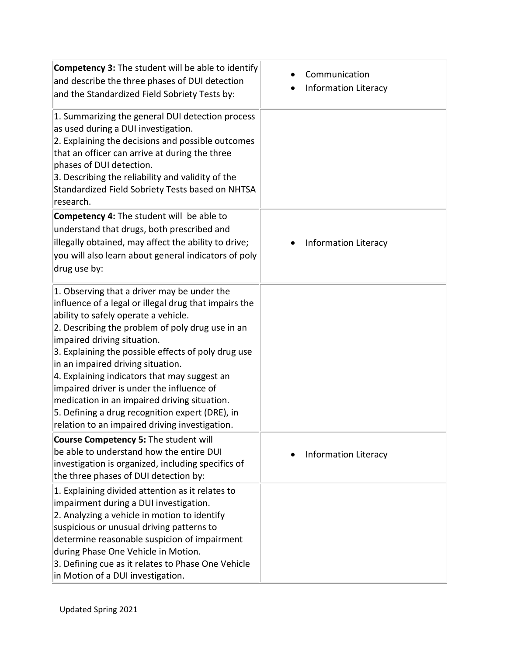| Competency 3: The student will be able to identify<br>and describe the three phases of DUI detection<br>and the Standardized Field Sobriety Tests by:                                                                                                                                                                                                                                                                                                                                                                                                                         | Communication<br><b>Information Literacy</b> |
|-------------------------------------------------------------------------------------------------------------------------------------------------------------------------------------------------------------------------------------------------------------------------------------------------------------------------------------------------------------------------------------------------------------------------------------------------------------------------------------------------------------------------------------------------------------------------------|----------------------------------------------|
| 1. Summarizing the general DUI detection process<br>as used during a DUI investigation.<br>2. Explaining the decisions and possible outcomes<br>that an officer can arrive at during the three<br>phases of DUI detection.<br>3. Describing the reliability and validity of the<br>Standardized Field Sobriety Tests based on NHTSA<br>research.                                                                                                                                                                                                                              |                                              |
| <b>Competency 4:</b> The student will be able to<br>understand that drugs, both prescribed and<br>illegally obtained, may affect the ability to drive;<br>you will also learn about general indicators of poly<br>drug use by:                                                                                                                                                                                                                                                                                                                                                | <b>Information Literacy</b>                  |
| 1. Observing that a driver may be under the<br>influence of a legal or illegal drug that impairs the<br>ability to safely operate a vehicle.<br>2. Describing the problem of poly drug use in an<br>impaired driving situation.<br>3. Explaining the possible effects of poly drug use<br>in an impaired driving situation.<br>4. Explaining indicators that may suggest an<br>impaired driver is under the influence of<br>medication in an impaired driving situation.<br>5. Defining a drug recognition expert (DRE), in<br>relation to an impaired driving investigation. |                                              |
| Course Competency 5: The student will<br>be able to understand how the entire DUI<br>investigation is organized, including specifics of<br>the three phases of DUI detection by:                                                                                                                                                                                                                                                                                                                                                                                              | <b>Information Literacy</b>                  |
| 1. Explaining divided attention as it relates to<br>impairment during a DUI investigation.<br>2. Analyzing a vehicle in motion to identify<br>suspicious or unusual driving patterns to<br>determine reasonable suspicion of impairment<br>during Phase One Vehicle in Motion.<br>3. Defining cue as it relates to Phase One Vehicle<br>in Motion of a DUI investigation.                                                                                                                                                                                                     |                                              |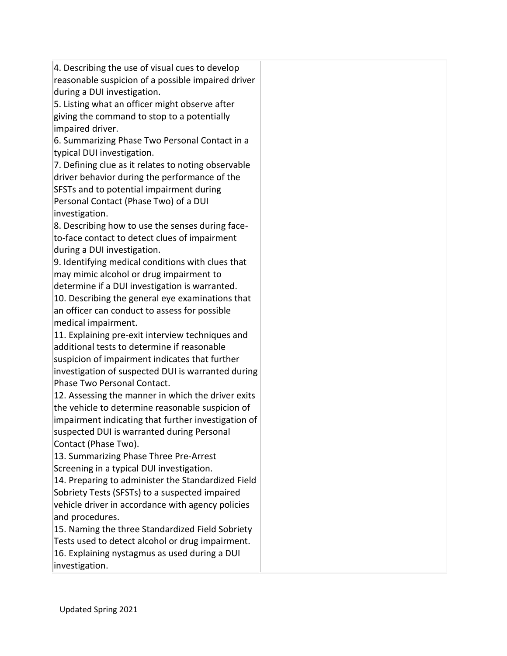4. Describing the use of visual cues to develop reasonable suspicion of a possible impaired driver during a DUI investigation.

5. Listing what an officer might observe after giving the command to stop to a potentially impaired driver.

6. Summarizing Phase Two Personal Contact in a typical DUI investigation.

7. Defining clue as it relates to noting observable driver behavior during the performance of the SFSTs and to potential impairment during Personal Contact (Phase Two) of a DUI investigation.

8. Describing how to use the senses during faceto-face contact to detect clues of impairment during a DUI investigation.

9. Identifying medical conditions with clues that may mimic alcohol or drug impairment to

determine if a DUI investigation is warranted. 10. Describing the general eye examinations that an officer can conduct to assess for possible medical impairment.

11. Explaining pre-exit interview techniques and additional tests to determine if reasonable suspicion of impairment indicates that further investigation of suspected DUI is warranted during Phase Two Personal Contact.

12. Assessing the manner in which the driver exits the vehicle to determine reasonable suspicion of impairment indicating that further investigation of suspected DUI is warranted during Personal Contact (Phase Two).

13. Summarizing Phase Three Pre-Arrest Screening in a typical DUI investigation.

14. Preparing to administer the Standardized Field Sobriety Tests (SFSTs) to a suspected impaired vehicle driver in accordance with agency policies and procedures.

15. Naming the three Standardized Field Sobriety Tests used to detect alcohol or drug impairment.

16. Explaining nystagmus as used during a DUI investigation.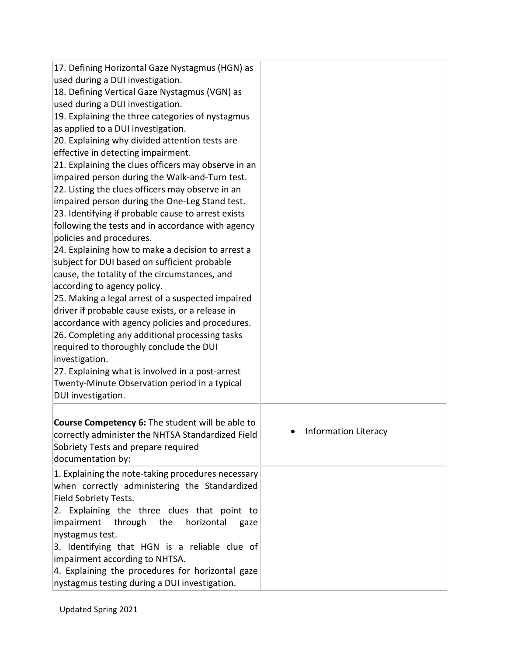| 17. Defining Horizontal Gaze Nystagmus (HGN) as<br>used during a DUI investigation.<br>18. Defining Vertical Gaze Nystagmus (VGN) as<br>used during a DUI investigation.<br>19. Explaining the three categories of nystagmus<br>as applied to a DUI investigation.<br>20. Explaining why divided attention tests are<br>effective in detecting impairment.<br>21. Explaining the clues officers may observe in an<br>impaired person during the Walk-and-Turn test.<br>22. Listing the clues officers may observe in an<br>impaired person during the One-Leg Stand test.<br>23. Identifying if probable cause to arrest exists<br>following the tests and in accordance with agency<br>policies and procedures.<br>24. Explaining how to make a decision to arrest a<br>subject for DUI based on sufficient probable<br>cause, the totality of the circumstances, and<br>according to agency policy.<br>25. Making a legal arrest of a suspected impaired<br>driver if probable cause exists, or a release in<br>accordance with agency policies and procedures.<br>26. Completing any additional processing tasks<br>required to thoroughly conclude the DUI<br>investigation.<br>27. Explaining what is involved in a post-arrest<br>Twenty-Minute Observation period in a typical<br>DUI investigation. |                             |
|-------------------------------------------------------------------------------------------------------------------------------------------------------------------------------------------------------------------------------------------------------------------------------------------------------------------------------------------------------------------------------------------------------------------------------------------------------------------------------------------------------------------------------------------------------------------------------------------------------------------------------------------------------------------------------------------------------------------------------------------------------------------------------------------------------------------------------------------------------------------------------------------------------------------------------------------------------------------------------------------------------------------------------------------------------------------------------------------------------------------------------------------------------------------------------------------------------------------------------------------------------------------------------------------------------------|-----------------------------|
| Course Competency 6: The student will be able to<br>correctly administer the NHTSA Standardized Field<br>Sobriety Tests and prepare required<br>documentation by:                                                                                                                                                                                                                                                                                                                                                                                                                                                                                                                                                                                                                                                                                                                                                                                                                                                                                                                                                                                                                                                                                                                                           | <b>Information Literacy</b> |
| 1. Explaining the note-taking procedures necessary<br>when correctly administering the Standardized<br>Field Sobriety Tests.<br>2. Explaining the three clues that point to<br>impairment<br>through the<br>horizontal<br>gaze<br>nystagmus test.<br>3. Identifying that HGN is a reliable clue of<br>impairment according to NHTSA.<br>4. Explaining the procedures for horizontal gaze<br>nystagmus testing during a DUI investigation.                                                                                                                                                                                                                                                                                                                                                                                                                                                                                                                                                                                                                                                                                                                                                                                                                                                                   |                             |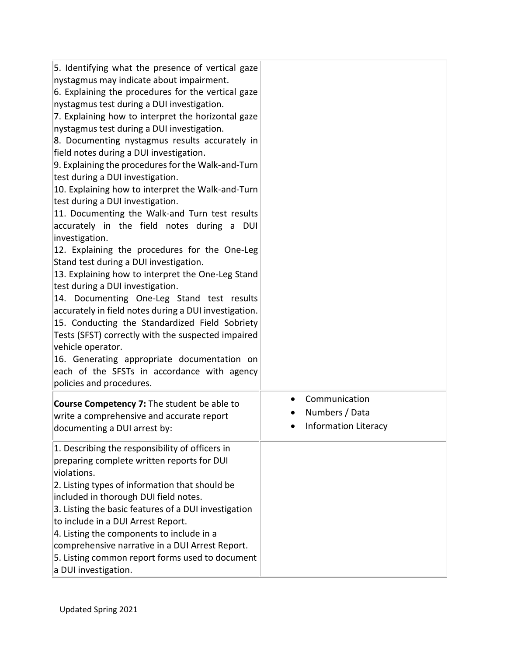5. Identifying what the presence of vertical gaze nystagmus may indicate about impairment.

6. Explaining the procedures for the vertical gaze nystagmus test during a DUI investigation.

7. Explaining how to interpret the horizontal gaze nystagmus test during a DUI investigation.

8. Documenting nystagmus results accurately in field notes during a DUI investigation.

9. Explaining the procedures for the Walk-and-Turn test during a DUI investigation.

10. Explaining how to interpret the Walk-and-Turn test during a DUI investigation.

11. Documenting the Walk-and Turn test results accurately in the field notes during a DUI investigation.

12. Explaining the procedures for the One-Leg Stand test during a DUI investigation.

13. Explaining how to interpret the One-Leg Stand test during a DUI investigation.

14. Documenting One-Leg Stand test results accurately in field notes during a DUI investigation. 15. Conducting the Standardized Field Sobriety

Tests (SFST) correctly with the suspected impaired vehicle operator.

16. Generating appropriate documentation on each of the SFSTs in accordance with agency policies and procedures.

**Course Competency 7:** The student be able to write a comprehensive and accurate report documenting a DUI arrest by:

1. Describing the responsibility of officers in preparing complete written reports for DUI violations.

2. Listing types of information that should be included in thorough DUI field notes.

3. Listing the basic features of a DUI investigation to include in a DUI Arrest Report.

4. Listing the components to include in a

comprehensive narrative in a DUI Arrest Report.

5. Listing common report forms used to document

a DUI investigation.

- Communication
- Numbers / Data
- Information Literacy